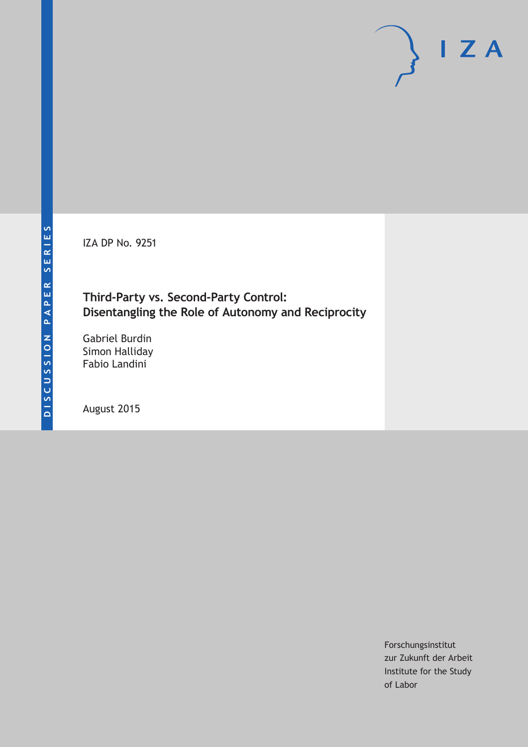IZA DP No. 9251

# **Third-Party vs. Second-Party Control: Disentangling the Role of Autonomy and Reciprocity**

Gabriel Burdin Simon Halliday Fabio Landini

August 2015

Forschungsinstitut zur Zukunft der Arbeit Institute for the Study of Labor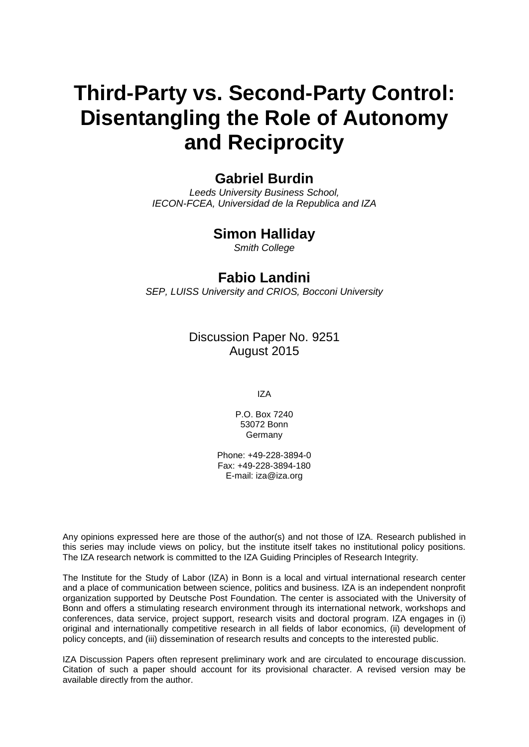# **Third-Party vs. Second-Party Control: Disentangling the Role of Autonomy and Reciprocity**

# **Gabriel Burdin**

*Leeds University Business School, IECON-FCEA, Universidad de la Republica and IZA*

## **Simon Halliday**

*Smith College*

### **Fabio Landini**

*SEP, LUISS University and CRIOS, Bocconi University*

Discussion Paper No. 9251 August 2015

IZA

P.O. Box 7240 53072 Bonn **Germany** 

Phone: +49-228-3894-0 Fax: +49-228-3894-180 E-mail: iza@iza.org

Any opinions expressed here are those of the author(s) and not those of IZA. Research published in this series may include views on policy, but the institute itself takes no institutional policy positions. The IZA research network is committed to the IZA Guiding Principles of Research Integrity.

The Institute for the Study of Labor (IZA) in Bonn is a local and virtual international research center and a place of communication between science, politics and business. IZA is an independent nonprofit organization supported by Deutsche Post Foundation. The center is associated with the University of Bonn and offers a stimulating research environment through its international network, workshops and conferences, data service, project support, research visits and doctoral program. IZA engages in (i) original and internationally competitive research in all fields of labor economics, (ii) development of policy concepts, and (iii) dissemination of research results and concepts to the interested public.

IZA Discussion Papers often represent preliminary work and are circulated to encourage discussion. Citation of such a paper should account for its provisional character. A revised version may be available directly from the author.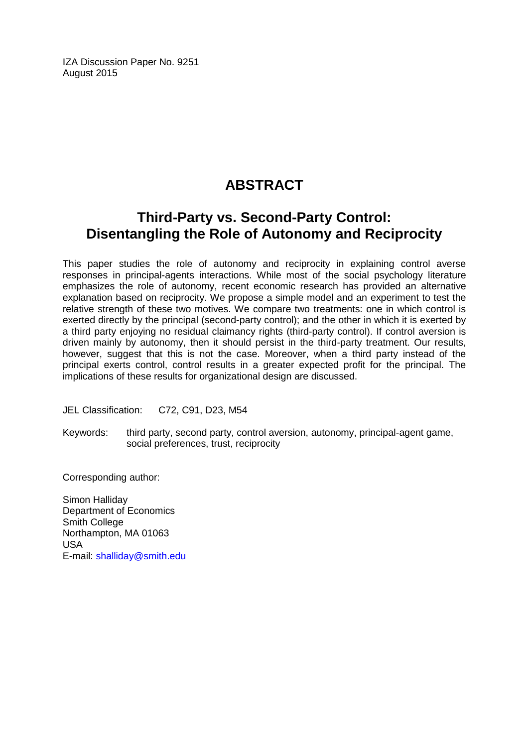IZA Discussion Paper No. 9251 August 2015

# **ABSTRACT**

# **Third-Party vs. Second-Party Control: Disentangling the Role of Autonomy and Reciprocity**

This paper studies the role of autonomy and reciprocity in explaining control averse responses in principal-agents interactions. While most of the social psychology literature emphasizes the role of autonomy, recent economic research has provided an alternative explanation based on reciprocity. We propose a simple model and an experiment to test the relative strength of these two motives. We compare two treatments: one in which control is exerted directly by the principal (second-party control); and the other in which it is exerted by a third party enjoying no residual claimancy rights (third-party control). If control aversion is driven mainly by autonomy, then it should persist in the third-party treatment. Our results, however, suggest that this is not the case. Moreover, when a third party instead of the principal exerts control, control results in a greater expected profit for the principal. The implications of these results for organizational design are discussed.

JEL Classification: C72, C91, D23, M54

Keywords: third party, second party, control aversion, autonomy, principal-agent game, social preferences, trust, reciprocity

Corresponding author:

Simon Halliday Department of Economics Smith College Northampton, MA 01063 USA E-mail: [shalliday@smith.edu](mailto:shalliday@smith.edu)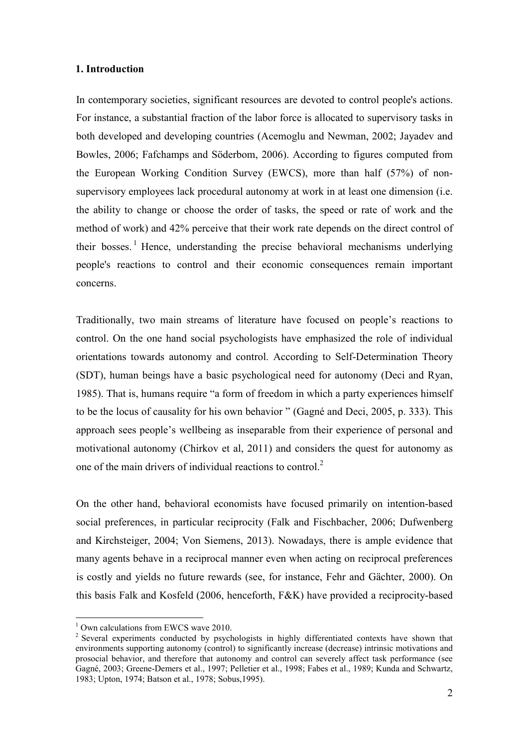#### **1. Introduction**

In contemporary societies, significant resources are devoted to control people's actions. For instance, a substantial fraction of the labor force is allocated to supervisory tasks in both developed and developing countries (Acemoglu and Newman, 2002; Jayadev and Bowles, 2006; Fafchamps and Söderbom, 2006). According to figures computed from the European Working Condition Survey (EWCS), more than half (57%) of nonsupervisory employees lack procedural autonomy at work in at least one dimension (i.e. the ability to change or choose the order of tasks, the speed or rate of work and the method of work) and 42% perceive that their work rate depends on the direct control of their bosses. <sup>1</sup> Hence, understanding the precise behavioral mechanisms underlying people's reactions to control and their economic consequences remain important concerns.

Traditionally, two main streams of literature have focused on people's reactions to control. On the one hand social psychologists have emphasized the role of individual orientations towards autonomy and control. According to Self-Determination Theory (SDT), human beings have a basic psychological need for autonomy (Deci and Ryan, 1985). That is, humans require "a form of freedom in which a party experiences himself to be the locus of causality for his own behavior " (Gagné and Deci, 2005, p. 333). This approach sees people's wellbeing as inseparable from their experience of personal and motivational autonomy (Chirkov et al, 2011) and considers the quest for autonomy as one of the main drivers of individual reactions to control.<sup>2</sup>

On the other hand, behavioral economists have focused primarily on intention-based social preferences, in particular reciprocity (Falk and Fischbacher, 2006; Dufwenberg and Kirchsteiger, 2004; Von Siemens, 2013). Nowadays, there is ample evidence that many agents behave in a reciprocal manner even when acting on reciprocal preferences is costly and yields no future rewards (see, for instance, Fehr and Gächter, 2000). On this basis Falk and Kosfeld (2006, henceforth, F&K) have provided a reciprocity-based

 $1$  Own calculations from EWCS wave 2010.

<sup>&</sup>lt;sup>2</sup> Several experiments conducted by psychologists in highly differentiated contexts have shown that environments supporting autonomy (control) to significantly increase (decrease) intrinsic motivations and prosocial behavior, and therefore that autonomy and control can severely affect task performance (see Gagné, 2003; Greene-Demers et al., 1997; Pelletier et al., 1998; Fabes et al., 1989; Kunda and Schwartz, 1983; Upton, 1974; Batson et al., 1978; Sobus,1995).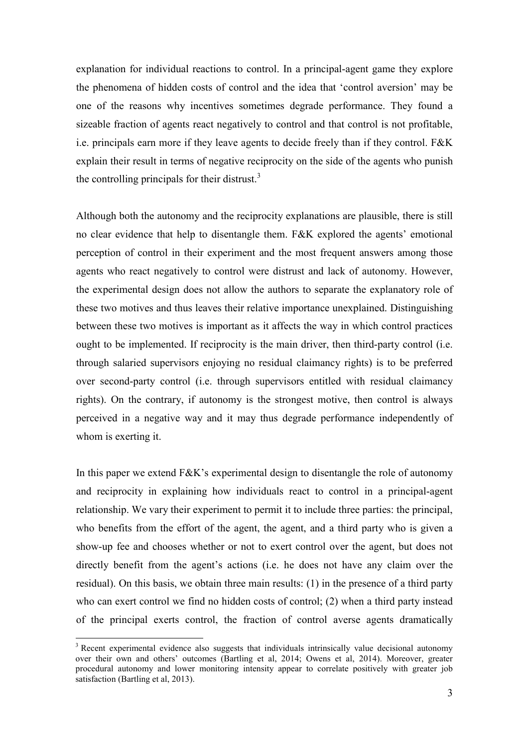explanation for individual reactions to control. In a principal-agent game they explore the phenomena of hidden costs of control and the idea that 'control aversion' may be one of the reasons why incentives sometimes degrade performance. They found a sizeable fraction of agents react negatively to control and that control is not profitable, i.e. principals earn more if they leave agents to decide freely than if they control. F&K explain their result in terms of negative reciprocity on the side of the agents who punish the controlling principals for their distrust. $3$ 

Although both the autonomy and the reciprocity explanations are plausible, there is still no clear evidence that help to disentangle them. F&K explored the agents' emotional perception of control in their experiment and the most frequent answers among those agents who react negatively to control were distrust and lack of autonomy. However, the experimental design does not allow the authors to separate the explanatory role of these two motives and thus leaves their relative importance unexplained. Distinguishing between these two motives is important as it affects the way in which control practices ought to be implemented. If reciprocity is the main driver, then third-party control (i.e. through salaried supervisors enjoying no residual claimancy rights) is to be preferred over second-party control (i.e. through supervisors entitled with residual claimancy rights). On the contrary, if autonomy is the strongest motive, then control is always perceived in a negative way and it may thus degrade performance independently of whom is exerting it.

In this paper we extend F&K's experimental design to disentangle the role of autonomy and reciprocity in explaining how individuals react to control in a principal-agent relationship. We vary their experiment to permit it to include three parties: the principal, who benefits from the effort of the agent, the agent, and a third party who is given a show-up fee and chooses whether or not to exert control over the agent, but does not directly benefit from the agent's actions (i.e. he does not have any claim over the residual). On this basis, we obtain three main results: (1) in the presence of a third party who can exert control we find no hidden costs of control; (2) when a third party instead of the principal exerts control, the fraction of control averse agents dramatically

<sup>&</sup>lt;sup>3</sup> Recent experimental evidence also suggests that individuals intrinsically value decisional autonomy over their own and others' outcomes (Bartling et al, 2014; Owens et al, 2014). Moreover, greater procedural autonomy and lower monitoring intensity appear to correlate positively with greater job satisfaction (Bartling et al, 2013).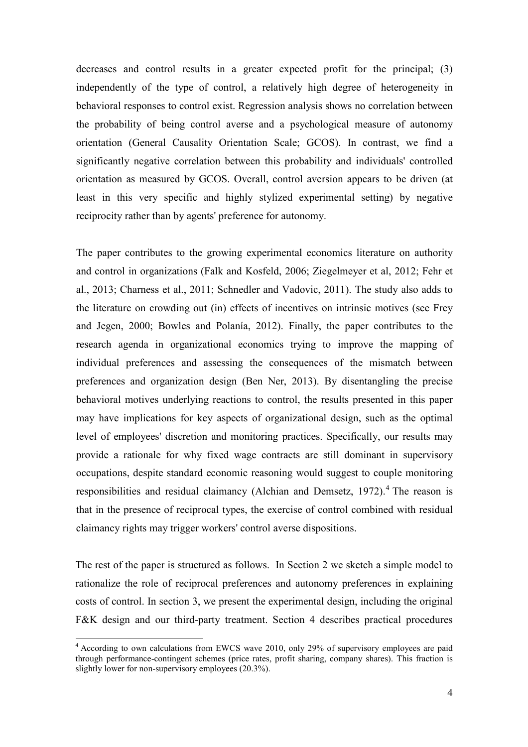decreases and control results in a greater expected profit for the principal; (3) independently of the type of control, a relatively high degree of heterogeneity in behavioral responses to control exist. Regression analysis shows no correlation between the probability of being control averse and a psychological measure of autonomy orientation (General Causality Orientation Scale; GCOS). In contrast, we find a significantly negative correlation between this probability and individuals' controlled orientation as measured by GCOS. Overall, control aversion appears to be driven (at least in this very specific and highly stylized experimental setting) by negative reciprocity rather than by agents' preference for autonomy.

The paper contributes to the growing experimental economics literature on authority and control in organizations (Falk and Kosfeld, 2006; Ziegelmeyer et al, 2012; Fehr et al., 2013; Charness et al., 2011; Schnedler and Vadovic, 2011). The study also adds to the literature on crowding out (in) effects of incentives on intrinsic motives (see Frey and Jegen, 2000; Bowles and Polanía, 2012). Finally, the paper contributes to the research agenda in organizational economics trying to improve the mapping of individual preferences and assessing the consequences of the mismatch between preferences and organization design (Ben Ner, 2013). By disentangling the precise behavioral motives underlying reactions to control, the results presented in this paper may have implications for key aspects of organizational design, such as the optimal level of employees' discretion and monitoring practices. Specifically, our results may provide a rationale for why fixed wage contracts are still dominant in supervisory occupations, despite standard economic reasoning would suggest to couple monitoring responsibilities and residual claimancy (Alchian and Demsetz, 1972).<sup>4</sup> The reason is that in the presence of reciprocal types, the exercise of control combined with residual claimancy rights may trigger workers' control averse dispositions.

The rest of the paper is structured as follows. In Section 2 we sketch a simple model to rationalize the role of reciprocal preferences and autonomy preferences in explaining costs of control. In section 3, we present the experimental design, including the original F&K design and our third-party treatment. Section 4 describes practical procedures

<sup>&</sup>lt;sup>4</sup> According to own calculations from EWCS wave 2010, only 29% of supervisory employees are paid through performance-contingent schemes (price rates, profit sharing, company shares). This fraction is slightly lower for non-supervisory employees (20.3%).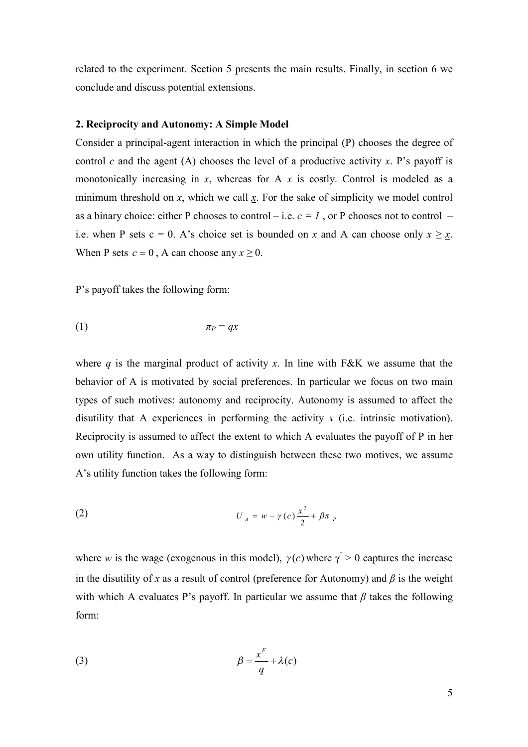related to the experiment. Section 5 presents the main results. Finally, in section 6 we conclude and discuss potential extensions.

#### **2. Reciprocity and Autonomy: A Simple Model**

Consider a principal-agent interaction in which the principal (P) chooses the degree of control *c* and the agent (A) chooses the level of a productive activity *x*. P's payoff is monotonically increasing in *x*, whereas for A *x* is costly. Control is modeled as a minimum threshold on *x*, which we call *x*. For the sake of simplicity we model control as a binary choice: either P chooses to control – i.e.  $c = 1$ , or P chooses not to control – i.e. when P sets  $c = 0$ . A's choice set is bounded on x and A can choose only  $x \ge x$ . When P sets  $c = 0$ , A can choose any  $x \ge 0$ .

P's payoff takes the following form:

$$
\pi_P = qx
$$

where  $q$  is the marginal product of activity  $x$ . In line with F&K we assume that the behavior of A is motivated by social preferences. In particular we focus on two main types of such motives: autonomy and reciprocity. Autonomy is assumed to affect the disutility that A experiences in performing the activity *x* (i.e. intrinsic motivation). Reciprocity is assumed to affect the extent to which A evaluates the payoff of P in her own utility function. As a way to distinguish between these two motives, we assume A's utility function takes the following form:

(2) 
$$
U_A = w - \gamma(c) \frac{x^2}{2} + \beta \pi_P
$$

where *w* is the wage (exogenous in this model),  $\gamma(c)$  where  $\gamma > 0$  captures the increase in the disutility of *x* as a result of control (preference for Autonomy) and  $\beta$  is the weight with which A evaluates P's payoff. In particular we assume that  $\beta$  takes the following form:

(3) 
$$
\beta = \frac{x^F}{q} + \lambda(c)
$$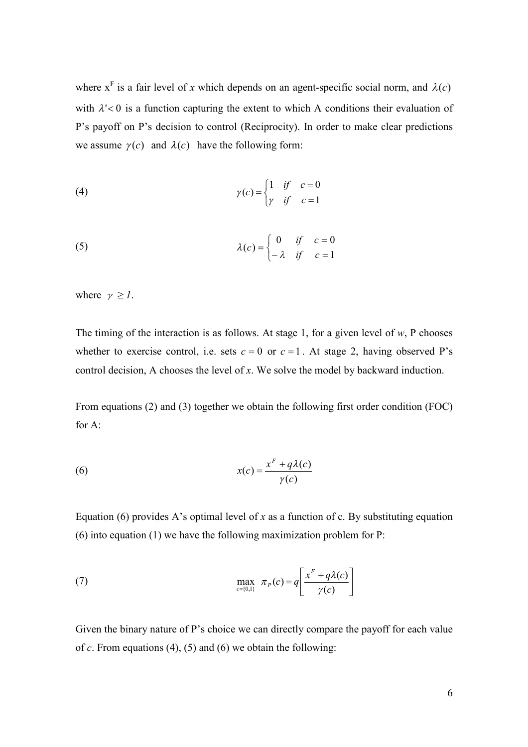where  $x^F$  is a fair level of x which depends on an agent-specific social norm, and  $\lambda(c)$ with  $\lambda$ '<0 is a function capturing the extent to which A conditions their evaluation of P's payoff on P's decision to control (Reciprocity). In order to make clear predictions we assume  $\gamma(c)$  and  $\lambda(c)$  have the following form:

(4) 
$$
\gamma(c) = \begin{cases} 1 & \text{if } c = 0 \\ \gamma & \text{if } c = 1 \end{cases}
$$

(5) 
$$
\lambda(c) = \begin{cases} 0 & \text{if } c = 0 \\ -\lambda & \text{if } c = 1 \end{cases}
$$

where  $\gamma \geq 1$ .

The timing of the interaction is as follows. At stage 1, for a given level of *w*, P chooses whether to exercise control, i.e. sets  $c = 0$  or  $c = 1$ . At stage 2, having observed P's control decision, A chooses the level of *x*. We solve the model by backward induction.

From equations (2) and (3) together we obtain the following first order condition (FOC) for  $A^T$ 

(6) 
$$
x(c) = \frac{x^F + q\lambda(c)}{\gamma(c)}
$$

Equation (6) provides A's optimal level of  $x$  as a function of  $c$ . By substituting equation (6) into equation (1) we have the following maximization problem for P:

(7) 
$$
\max_{c=\{0,1\}} \pi_P(c) = q \left[ \frac{x^F + q\lambda(c)}{\gamma(c)} \right]
$$

Given the binary nature of P's choice we can directly compare the payoff for each value of *c*. From equations (4), (5) and (6) we obtain the following: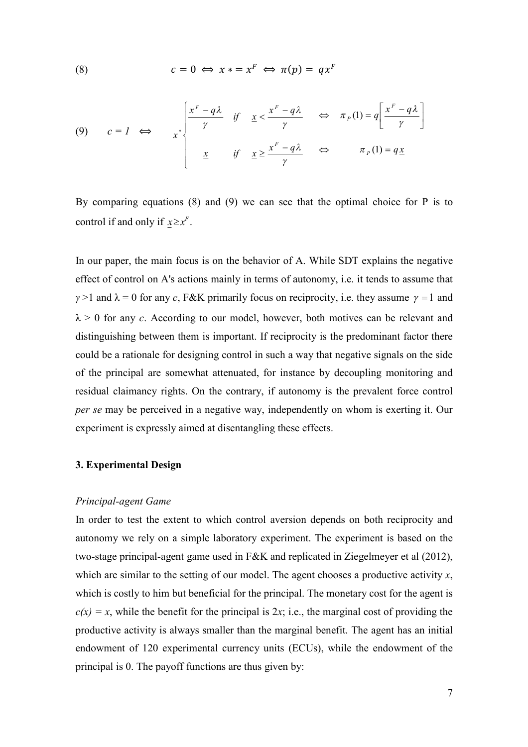(8) 
$$
c = 0 \iff x * = x^F \iff \pi(p) = qx^F
$$

(9) 
$$
c = I \iff x^* \begin{cases} \frac{x^F - q\lambda}{\gamma} & \text{if } \frac{x}{\gamma} \leq \frac{x^F - q\lambda}{\gamma} & \text{if } \frac{x^F - q\lambda}{\gamma} \\ \frac{x}{\gamma} & \text{if } \frac{x \geq \frac{x^F - q\lambda}{\gamma}}{\gamma} \end{cases} \iff \pi_P(1) = q \frac{x}{\gamma}
$$

By comparing equations (8) and (9) we can see that the optimal choice for P is to control if and only if  $x \ge x^F$ .

In our paper, the main focus is on the behavior of A. While SDT explains the negative effect of control on A's actions mainly in terms of autonomy, i.e. it tends to assume that *γ* >1 and  $\lambda$  = 0 for any *c*, F&K primarily focus on reciprocity, i.e. they assume  $\gamma$  = 1 and  $\lambda > 0$  for any *c*. According to our model, however, both motives can be relevant and distinguishing between them is important. If reciprocity is the predominant factor there could be a rationale for designing control in such a way that negative signals on the side of the principal are somewhat attenuated, for instance by decoupling monitoring and residual claimancy rights. On the contrary, if autonomy is the prevalent force control *per se* may be perceived in a negative way, independently on whom is exerting it. Our experiment is expressly aimed at disentangling these effects.

#### **3. Experimental Design**

#### *Principal-agent Game*

In order to test the extent to which control aversion depends on both reciprocity and autonomy we rely on a simple laboratory experiment. The experiment is based on the two-stage principal-agent game used in F&K and replicated in Ziegelmeyer et al (2012), which are similar to the setting of our model. The agent chooses a productive activity *x*, which is costly to him but beneficial for the principal. The monetary cost for the agent is  $c(x) = x$ , while the benefit for the principal is 2*x*; i.e., the marginal cost of providing the productive activity is always smaller than the marginal benefit. The agent has an initial endowment of 120 experimental currency units (ECUs), while the endowment of the principal is 0. The payoff functions are thus given by: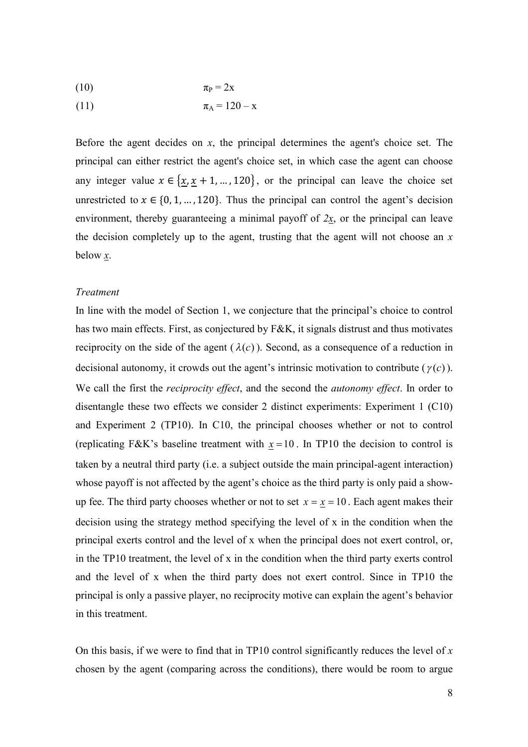$$
\pi_{\rm P} = 2x
$$

(11) 
$$
\pi_{A} = 120 - x
$$

Before the agent decides on *x*, the principal determines the agent's choice set. The principal can either restrict the agent's choice set, in which case the agent can choose any integer value  $x \in \{x, x+1, ..., 120\}$ , or the principal can leave the choice set unrestricted to  $x \in \{0, 1, ..., 120\}$ . Thus the principal can control the agent's decision environment, thereby guaranteeing a minimal payoff of *2x*, or the principal can leave the decision completely up to the agent, trusting that the agent will not choose an *x* below *x*.

#### *Treatment*

In line with the model of Section 1, we conjecture that the principal's choice to control has two main effects. First, as conjectured by F&K, it signals distrust and thus motivates reciprocity on the side of the agent  $(\lambda(c))$ . Second, as a consequence of a reduction in decisional autonomy, it crowds out the agent's intrinsic motivation to contribute  $(\gamma(c))$ . We call the first the *reciprocity effect*, and the second the *autonomy effect*. In order to disentangle these two effects we consider 2 distinct experiments: Experiment 1 (C10) and Experiment 2 (TP10). In C10, the principal chooses whether or not to control (replicating F&K's baseline treatment with  $x = 10$ . In TP10 the decision to control is taken by a neutral third party (i.e. a subject outside the main principal-agent interaction) whose payoff is not affected by the agent's choice as the third party is only paid a showup fee. The third party chooses whether or not to set  $x = \underline{x} = 10$ . Each agent makes their decision using the strategy method specifying the level of x in the condition when the principal exerts control and the level of x when the principal does not exert control, or, in the TP10 treatment, the level of x in the condition when the third party exerts control and the level of x when the third party does not exert control. Since in TP10 the principal is only a passive player, no reciprocity motive can explain the agent's behavior in this treatment.

On this basis, if we were to find that in TP10 control significantly reduces the level of *x* chosen by the agent (comparing across the conditions), there would be room to argue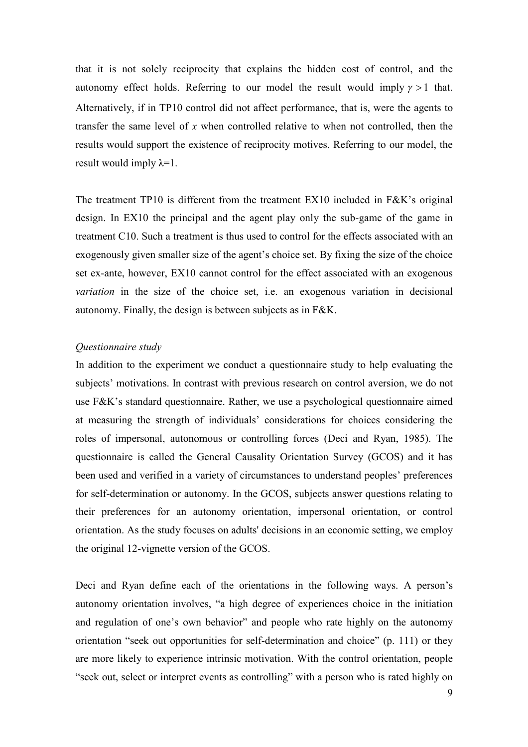that it is not solely reciprocity that explains the hidden cost of control, and the autonomy effect holds. Referring to our model the result would imply  $\gamma > 1$  that. Alternatively, if in TP10 control did not affect performance, that is, were the agents to transfer the same level of *x* when controlled relative to when not controlled, then the results would support the existence of reciprocity motives. Referring to our model, the result would imply  $\lambda=1$ .

The treatment TP10 is different from the treatment EX10 included in F&K's original design. In EX10 the principal and the agent play only the sub-game of the game in treatment C10. Such a treatment is thus used to control for the effects associated with an exogenously given smaller size of the agent's choice set. By fixing the size of the choice set ex-ante, however, EX10 cannot control for the effect associated with an exogenous *variation* in the size of the choice set, i.e. an exogenous variation in decisional autonomy. Finally, the design is between subjects as in F&K.

#### *Questionnaire study*

In addition to the experiment we conduct a questionnaire study to help evaluating the subjects' motivations. In contrast with previous research on control aversion, we do not use F&K's standard questionnaire. Rather, we use a psychological questionnaire aimed at measuring the strength of individuals' considerations for choices considering the roles of impersonal, autonomous or controlling forces (Deci and Ryan, 1985). The questionnaire is called the General Causality Orientation Survey (GCOS) and it has been used and verified in a variety of circumstances to understand peoples' preferences for self-determination or autonomy. In the GCOS, subjects answer questions relating to their preferences for an autonomy orientation, impersonal orientation, or control orientation. As the study focuses on adults' decisions in an economic setting, we employ the original 12-vignette version of the GCOS.

Deci and Ryan define each of the orientations in the following ways. A person's autonomy orientation involves, "a high degree of experiences choice in the initiation and regulation of one's own behavior" and people who rate highly on the autonomy orientation "seek out opportunities for self-determination and choice" (p. 111) or they are more likely to experience intrinsic motivation. With the control orientation, people "seek out, select or interpret events as controlling" with a person who is rated highly on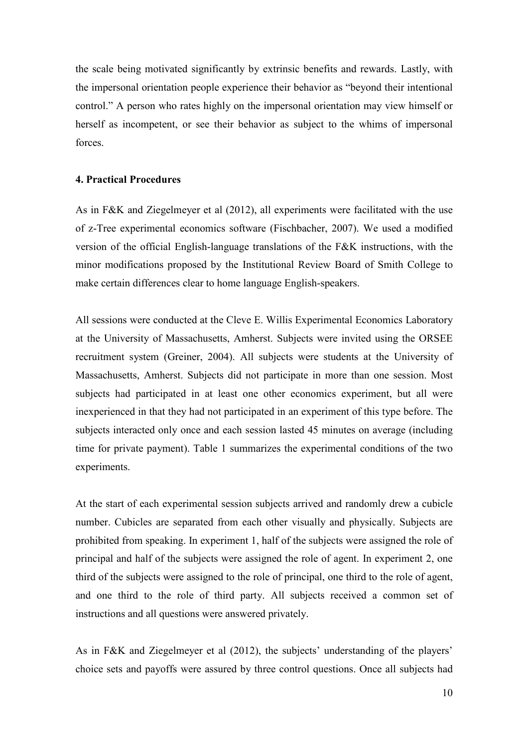the scale being motivated significantly by extrinsic benefits and rewards. Lastly, with the impersonal orientation people experience their behavior as "beyond their intentional control." A person who rates highly on the impersonal orientation may view himself or herself as incompetent, or see their behavior as subject to the whims of impersonal forces.

#### **4. Practical Procedures**

As in F&K and Ziegelmeyer et al (2012), all experiments were facilitated with the use of z-Tree experimental economics software (Fischbacher, 2007). We used a modified version of the official English-language translations of the F&K instructions, with the minor modifications proposed by the Institutional Review Board of Smith College to make certain differences clear to home language English-speakers.

All sessions were conducted at the Cleve E. Willis Experimental Economics Laboratory at the University of Massachusetts, Amherst. Subjects were invited using the ORSEE recruitment system (Greiner, 2004). All subjects were students at the University of Massachusetts, Amherst. Subjects did not participate in more than one session. Most subjects had participated in at least one other economics experiment, but all were inexperienced in that they had not participated in an experiment of this type before. The subjects interacted only once and each session lasted 45 minutes on average (including time for private payment). Table 1 summarizes the experimental conditions of the two experiments.

At the start of each experimental session subjects arrived and randomly drew a cubicle number. Cubicles are separated from each other visually and physically. Subjects are prohibited from speaking. In experiment 1, half of the subjects were assigned the role of principal and half of the subjects were assigned the role of agent. In experiment 2, one third of the subjects were assigned to the role of principal, one third to the role of agent, and one third to the role of third party. All subjects received a common set of instructions and all questions were answered privately.

As in F&K and Ziegelmeyer et al (2012), the subjects' understanding of the players' choice sets and payoffs were assured by three control questions. Once all subjects had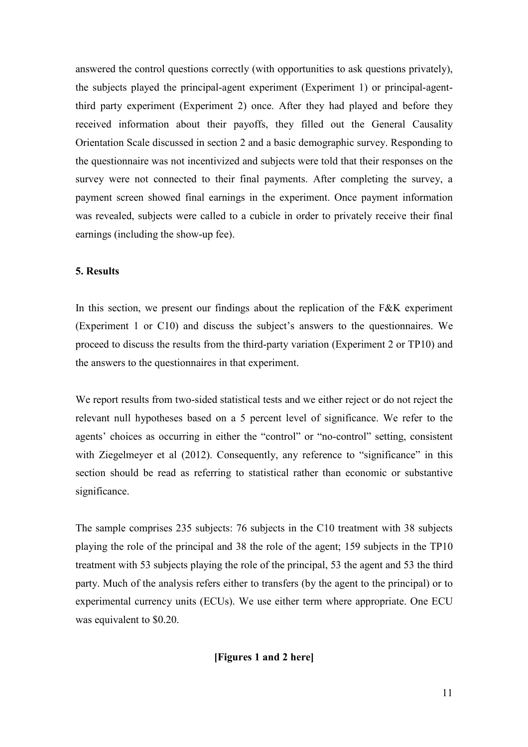answered the control questions correctly (with opportunities to ask questions privately), the subjects played the principal-agent experiment (Experiment 1) or principal-agentthird party experiment (Experiment 2) once. After they had played and before they received information about their payoffs, they filled out the General Causality Orientation Scale discussed in section 2 and a basic demographic survey. Responding to the questionnaire was not incentivized and subjects were told that their responses on the survey were not connected to their final payments. After completing the survey, a payment screen showed final earnings in the experiment. Once payment information was revealed, subjects were called to a cubicle in order to privately receive their final earnings (including the show-up fee).

#### **5. Results**

In this section, we present our findings about the replication of the F&K experiment (Experiment 1 or C10) and discuss the subject's answers to the questionnaires. We proceed to discuss the results from the third-party variation (Experiment 2 or TP10) and the answers to the questionnaires in that experiment.

We report results from two-sided statistical tests and we either reject or do not reject the relevant null hypotheses based on a 5 percent level of significance. We refer to the agents' choices as occurring in either the "control" or "no-control" setting, consistent with Ziegelmeyer et al (2012). Consequently, any reference to "significance" in this section should be read as referring to statistical rather than economic or substantive significance.

The sample comprises 235 subjects: 76 subjects in the C10 treatment with 38 subjects playing the role of the principal and 38 the role of the agent; 159 subjects in the TP10 treatment with 53 subjects playing the role of the principal, 53 the agent and 53 the third party. Much of the analysis refers either to transfers (by the agent to the principal) or to experimental currency units (ECUs). We use either term where appropriate. One ECU was equivalent to \$0.20.

**[Figures 1 and 2 here]**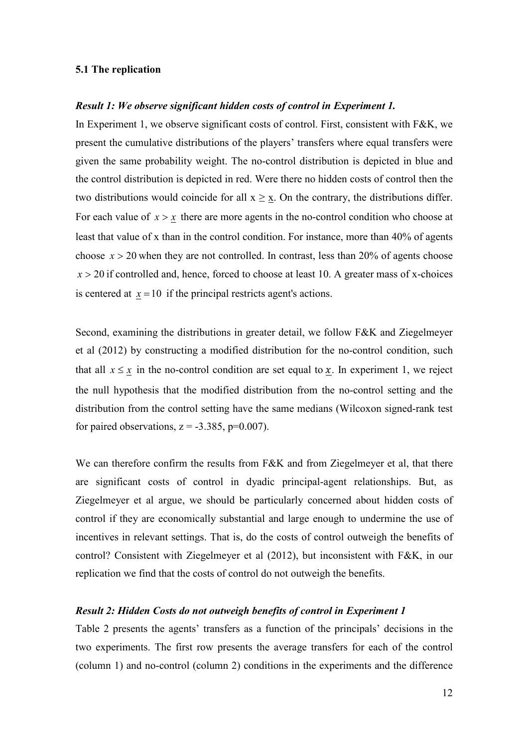#### **5.1 The replication**

#### *Result 1: We observe significant hidden costs of control in Experiment 1.*

In Experiment 1, we observe significant costs of control. First, consistent with F&K, we present the cumulative distributions of the players' transfers where equal transfers were given the same probability weight. The no-control distribution is depicted in blue and the control distribution is depicted in red. Were there no hidden costs of control then the two distributions would coincide for all  $x \geq x$ . On the contrary, the distributions differ. For each value of  $x > x$  there are more agents in the no-control condition who choose at least that value of x than in the control condition. For instance, more than 40% of agents choose  $x > 20$  when they are not controlled. In contrast, less than 20% of agents choose  $x > 20$  if controlled and, hence, forced to choose at least 10. A greater mass of x-choices is centered at  $x = 10$  if the principal restricts agent's actions.

Second, examining the distributions in greater detail, we follow F&K and Ziegelmeyer et al (2012) by constructing a modified distribution for the no-control condition, such that all  $x \leq x$  in the no-control condition are set equal to x. In experiment 1, we reject the null hypothesis that the modified distribution from the no-control setting and the distribution from the control setting have the same medians (Wilcoxon signed-rank test for paired observations,  $z = -3.385$ ,  $p=0.007$ ).

We can therefore confirm the results from F&K and from Ziegelmeyer et al, that there are significant costs of control in dyadic principal-agent relationships. But, as Ziegelmeyer et al argue, we should be particularly concerned about hidden costs of control if they are economically substantial and large enough to undermine the use of incentives in relevant settings. That is, do the costs of control outweigh the benefits of control? Consistent with Ziegelmeyer et al (2012), but inconsistent with F&K, in our replication we find that the costs of control do not outweigh the benefits.

#### *Result 2: Hidden Costs do not outweigh benefits of control in Experiment 1*

Table 2 presents the agents' transfers as a function of the principals' decisions in the two experiments. The first row presents the average transfers for each of the control (column 1) and no-control (column 2) conditions in the experiments and the difference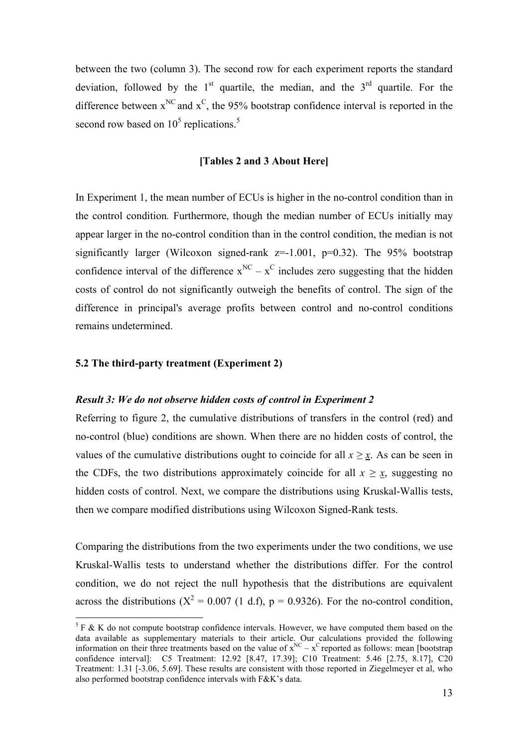between the two (column 3). The second row for each experiment reports the standard deviation, followed by the  $1<sup>st</sup>$  quartile, the median, and the  $3<sup>rd</sup>$  quartile. For the difference between  $x^{NC}$  and  $x^C$ , the 95% bootstrap confidence interval is reported in the second row based on  $10^5$  replications.<sup>5</sup>

#### **[Tables 2 and 3 About Here]**

In Experiment 1, the mean number of ECUs is higher in the no-control condition than in the control condition*.* Furthermore, though the median number of ECUs initially may appear larger in the no-control condition than in the control condition, the median is not significantly larger (Wilcoxon signed-rank  $z=1.001$ ,  $p=0.32$ ). The 95% bootstrap confidence interval of the difference  $x^{NC} - x^C$  includes zero suggesting that the hidden costs of control do not significantly outweigh the benefits of control. The sign of the difference in principal's average profits between control and no-control conditions remains undetermined.

#### **5.2 The third-party treatment (Experiment 2)**

#### *Result 3: We do not observe hidden costs of control in Experiment 2*

Referring to figure 2, the cumulative distributions of transfers in the control (red) and no-control (blue) conditions are shown. When there are no hidden costs of control, the values of the cumulative distributions ought to coincide for all  $x \geq x$ . As can be seen in the CDFs, the two distributions approximately coincide for all  $x \ge x$ , suggesting no hidden costs of control. Next, we compare the distributions using Kruskal-Wallis tests, then we compare modified distributions using Wilcoxon Signed-Rank tests.

Comparing the distributions from the two experiments under the two conditions, we use Kruskal-Wallis tests to understand whether the distributions differ. For the control condition, we do not reject the null hypothesis that the distributions are equivalent across the distributions ( $X^2 = 0.007$  (1 d.f), p = 0.9326). For the no-control condition,

 $5 F \& K$  do not compute bootstrap confidence intervals. However, we have computed them based on the data available as supplementary materials to their article. Our calculations provided the following information on their three treatments based on the value of  $x^{NC} - x^C$  reported as follows: mean [bootstrap] confidence interval]: C5 Treatment: 12.92 [8.47, 17.39]; C10 Treatment: 5.46 [2.75, 8.17], C20 Treatment: 1.31 [-3.06, 5.69]. These results are consistent with those reported in Ziegelmeyer et al, who also performed bootstrap confidence intervals with F&K's data.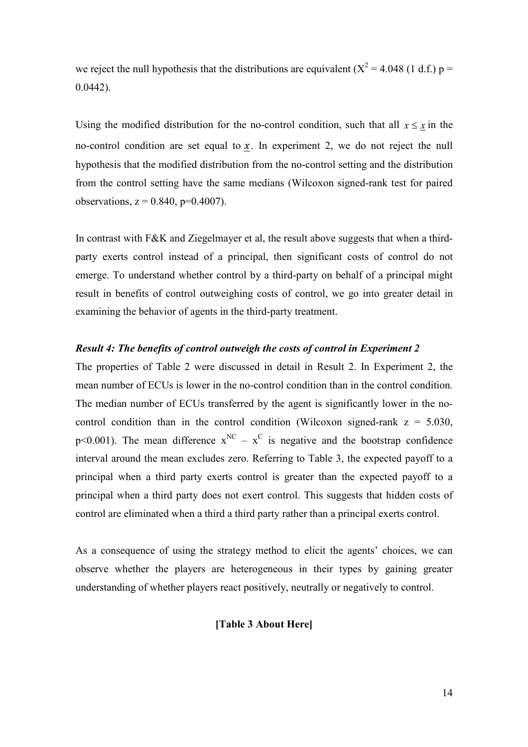we reject the null hypothesis that the distributions are equivalent ( $X^2 = 4.048$  (1 d.f.) p = 0.0442).

Using the modified distribution for the no-control condition, such that all  $x \leq x$  in the no-control condition are set equal to  $x$ . In experiment 2, we do not reject the null hypothesis that the modified distribution from the no-control setting and the distribution from the control setting have the same medians (Wilcoxon signed-rank test for paired observations,  $z = 0.840$ ,  $p=0.4007$ ).

In contrast with F&K and Ziegelmayer et al, the result above suggests that when a thirdparty exerts control instead of a principal, then significant costs of control do not emerge. To understand whether control by a third-party on behalf of a principal might result in benefits of control outweighing costs of control, we go into greater detail in examining the behavior of agents in the third-party treatment.

#### *Result 4: The benefits of control outweigh the costs of control in Experiment 2*

The properties of Table 2 were discussed in detail in Result 2. In Experiment 2, the mean number of ECUs is lower in the no-control condition than in the control condition*.* The median number of ECUs transferred by the agent is significantly lower in the nocontrol condition than in the control condition (Wilcoxon signed-rank  $z = 5.030$ , p<0.001). The mean difference  $x^{NC} - x^C$  is negative and the bootstrap confidence interval around the mean excludes zero. Referring to Table 3, the expected payoff to a principal when a third party exerts control is greater than the expected payoff to a principal when a third party does not exert control. This suggests that hidden costs of control are eliminated when a third a third party rather than a principal exerts control.

As a consequence of using the strategy method to elicit the agents' choices, we can observe whether the players are heterogeneous in their types by gaining greater understanding of whether players react positively, neutrally or negatively to control.

#### **[Table 3 About Here]**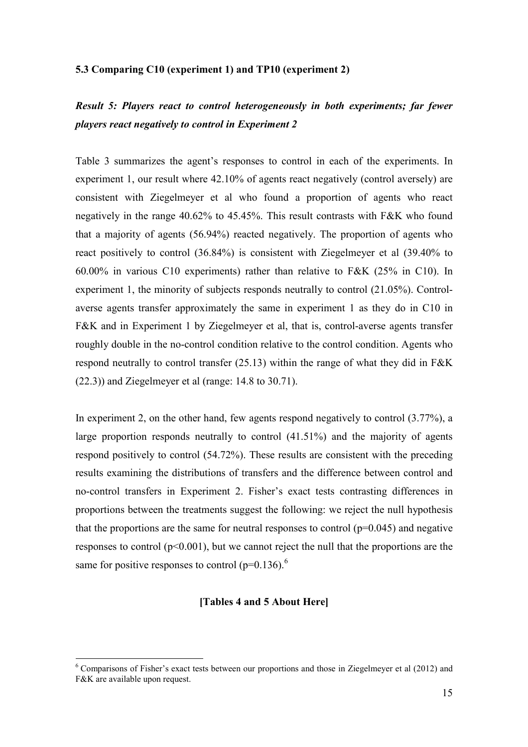#### **5.3 Comparing C10 (experiment 1) and TP10 (experiment 2)**

### *Result 5: Players react to control heterogeneously in both experiments; far fewer players react negatively to control in Experiment 2*

Table 3 summarizes the agent's responses to control in each of the experiments. In experiment 1, our result where 42.10% of agents react negatively (control aversely) are consistent with Ziegelmeyer et al who found a proportion of agents who react negatively in the range 40.62% to 45.45%. This result contrasts with F&K who found that a majority of agents (56.94%) reacted negatively. The proportion of agents who react positively to control (36.84%) is consistent with Ziegelmeyer et al (39.40% to 60.00% in various C10 experiments) rather than relative to F&K (25% in C10). In experiment 1, the minority of subjects responds neutrally to control (21.05%). Controlaverse agents transfer approximately the same in experiment 1 as they do in C10 in F&K and in Experiment 1 by Ziegelmeyer et al, that is, control-averse agents transfer roughly double in the no-control condition relative to the control condition. Agents who respond neutrally to control transfer (25.13) within the range of what they did in F&K (22.3)) and Ziegelmeyer et al (range: 14.8 to 30.71).

In experiment 2, on the other hand, few agents respond negatively to control  $(3.77%)$ , a large proportion responds neutrally to control (41.51%) and the majority of agents respond positively to control (54.72%). These results are consistent with the preceding results examining the distributions of transfers and the difference between control and no-control transfers in Experiment 2. Fisher's exact tests contrasting differences in proportions between the treatments suggest the following: we reject the null hypothesis that the proportions are the same for neutral responses to control  $(p=0.045)$  and negative responses to control  $(p<0.001)$ , but we cannot reject the null that the proportions are the same for positive responses to control  $(p=0.136)$ .<sup>6</sup>

#### **[Tables 4 and 5 About Here]**

<sup>6</sup> Comparisons of Fisher's exact tests between our proportions and those in Ziegelmeyer et al (2012) and F&K are available upon request.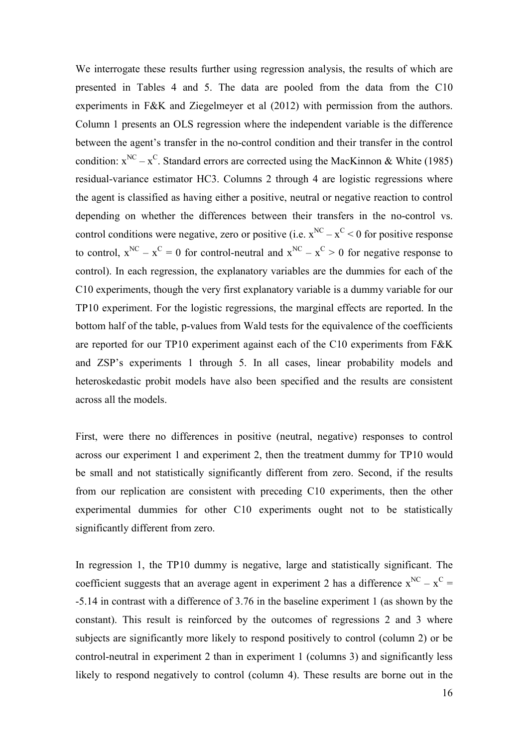We interrogate these results further using regression analysis, the results of which are presented in Tables 4 and 5. The data are pooled from the data from the C10 experiments in F&K and Ziegelmeyer et al (2012) with permission from the authors. Column 1 presents an OLS regression where the independent variable is the difference between the agent's transfer in the no-control condition and their transfer in the control condition:  $x^{NC} - x^C$ . Standard errors are corrected using the MacKinnon & White (1985) residual-variance estimator HC3. Columns 2 through 4 are logistic regressions where the agent is classified as having either a positive, neutral or negative reaction to control depending on whether the differences between their transfers in the no-control vs. control conditions were negative, zero or positive (i.e.  $x^{NC} - x^C < 0$  for positive response to control,  $x^{NC} - x^C = 0$  for control-neutral and  $x^{NC} - x^C > 0$  for negative response to control). In each regression, the explanatory variables are the dummies for each of the C10 experiments, though the very first explanatory variable is a dummy variable for our TP10 experiment. For the logistic regressions, the marginal effects are reported. In the bottom half of the table, p-values from Wald tests for the equivalence of the coefficients are reported for our TP10 experiment against each of the C10 experiments from F&K and ZSP's experiments 1 through 5. In all cases, linear probability models and heteroskedastic probit models have also been specified and the results are consistent across all the models.

First, were there no differences in positive (neutral, negative) responses to control across our experiment 1 and experiment 2, then the treatment dummy for TP10 would be small and not statistically significantly different from zero. Second, if the results from our replication are consistent with preceding C10 experiments, then the other experimental dummies for other C10 experiments ought not to be statistically significantly different from zero.

In regression 1, the TP10 dummy is negative, large and statistically significant. The coefficient suggests that an average agent in experiment 2 has a difference  $x^{NC} - x^C =$ -5.14 in contrast with a difference of 3.76 in the baseline experiment 1 (as shown by the constant). This result is reinforced by the outcomes of regressions 2 and 3 where subjects are significantly more likely to respond positively to control (column 2) or be control-neutral in experiment 2 than in experiment 1 (columns 3) and significantly less likely to respond negatively to control (column 4). These results are borne out in the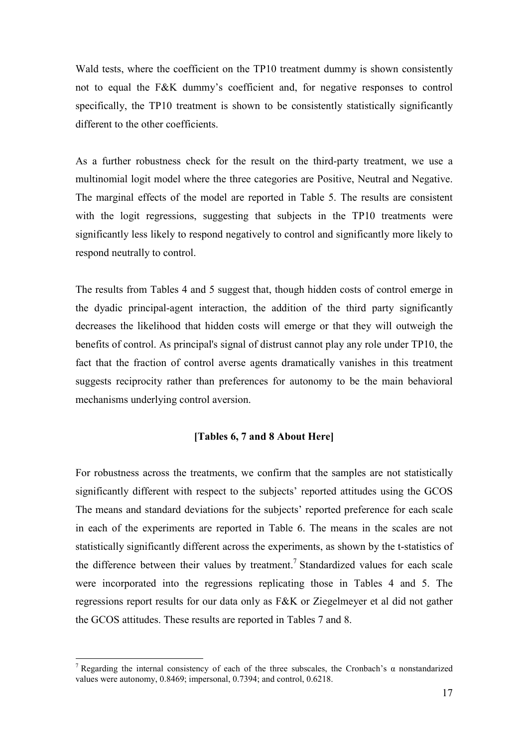Wald tests, where the coefficient on the TP10 treatment dummy is shown consistently not to equal the F&K dummy's coefficient and, for negative responses to control specifically, the TP10 treatment is shown to be consistently statistically significantly different to the other coefficients.

As a further robustness check for the result on the third-party treatment, we use a multinomial logit model where the three categories are Positive, Neutral and Negative. The marginal effects of the model are reported in Table 5. The results are consistent with the logit regressions, suggesting that subjects in the TP10 treatments were significantly less likely to respond negatively to control and significantly more likely to respond neutrally to control.

The results from Tables 4 and 5 suggest that, though hidden costs of control emerge in the dyadic principal-agent interaction, the addition of the third party significantly decreases the likelihood that hidden costs will emerge or that they will outweigh the benefits of control. As principal's signal of distrust cannot play any role under TP10, the fact that the fraction of control averse agents dramatically vanishes in this treatment suggests reciprocity rather than preferences for autonomy to be the main behavioral mechanisms underlying control aversion.

#### **[Tables 6, 7 and 8 About Here]**

For robustness across the treatments, we confirm that the samples are not statistically significantly different with respect to the subjects' reported attitudes using the GCOS The means and standard deviations for the subjects' reported preference for each scale in each of the experiments are reported in Table 6. The means in the scales are not statistically significantly different across the experiments, as shown by the t-statistics of the difference between their values by treatment.<sup>7</sup> Standardized values for each scale were incorporated into the regressions replicating those in Tables 4 and 5. The regressions report results for our data only as F&K or Ziegelmeyer et al did not gather the GCOS attitudes. These results are reported in Tables 7 and 8.

<sup>&</sup>lt;sup>7</sup> Regarding the internal consistency of each of the three subscales, the Cronbach's  $\alpha$  nonstandarized values were autonomy, 0.8469; impersonal, 0.7394; and control, 0.6218.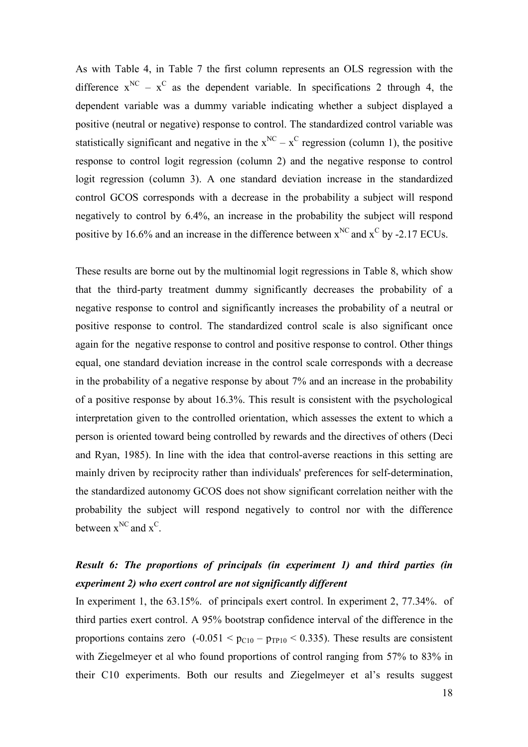As with Table 4, in Table 7 the first column represents an OLS regression with the difference  $x^{NC} - x^C$  as the dependent variable. In specifications 2 through 4, the dependent variable was a dummy variable indicating whether a subject displayed a positive (neutral or negative) response to control. The standardized control variable was statistically significant and negative in the  $x^{NC} - x^C$  regression (column 1), the positive response to control logit regression (column 2) and the negative response to control logit regression (column 3). A one standard deviation increase in the standardized control GCOS corresponds with a decrease in the probability a subject will respond negatively to control by 6.4%, an increase in the probability the subject will respond positive by 16.6% and an increase in the difference between  $x^{NC}$  and  $x^C$  by -2.17 ECUs.

These results are borne out by the multinomial logit regressions in Table 8, which show that the third-party treatment dummy significantly decreases the probability of a negative response to control and significantly increases the probability of a neutral or positive response to control. The standardized control scale is also significant once again for the negative response to control and positive response to control. Other things equal, one standard deviation increase in the control scale corresponds with a decrease in the probability of a negative response by about 7% and an increase in the probability of a positive response by about 16.3%. This result is consistent with the psychological interpretation given to the controlled orientation, which assesses the extent to which a person is oriented toward being controlled by rewards and the directives of others (Deci and Ryan, 1985). In line with the idea that control-averse reactions in this setting are mainly driven by reciprocity rather than individuals' preferences for self-determination, the standardized autonomy GCOS does not show significant correlation neither with the probability the subject will respond negatively to control nor with the difference between  $x^{NC}$  and  $x^C$ .

# *Result 6: The proportions of principals (in experiment 1) and third parties (in experiment 2) who exert control are not significantly different*

In experiment 1, the 63.15%. of principals exert control. In experiment 2, 77.34%. of third parties exert control. A 95% bootstrap confidence interval of the difference in the proportions contains zero  $(-0.051 \le p_{C10} - p_{TP10} \le 0.335)$ . These results are consistent with Ziegelmeyer et al who found proportions of control ranging from 57% to 83% in their C10 experiments. Both our results and Ziegelmeyer et al's results suggest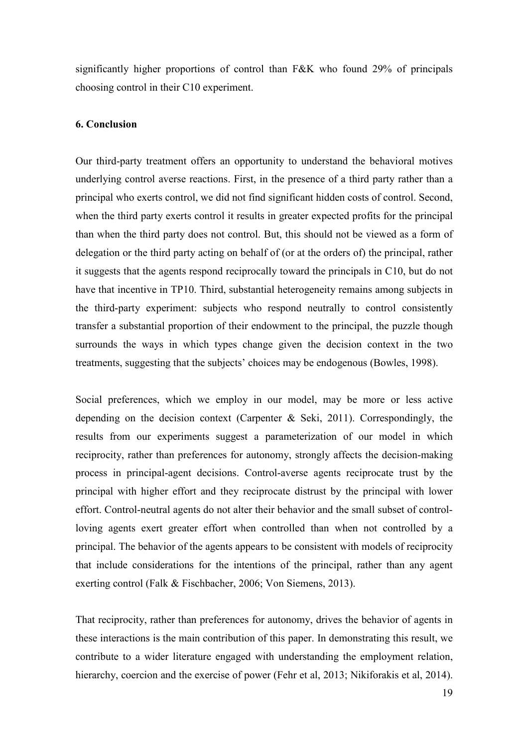significantly higher proportions of control than F&K who found 29% of principals choosing control in their C10 experiment.

#### **6. Conclusion**

Our third-party treatment offers an opportunity to understand the behavioral motives underlying control averse reactions. First, in the presence of a third party rather than a principal who exerts control, we did not find significant hidden costs of control. Second, when the third party exerts control it results in greater expected profits for the principal than when the third party does not control. But, this should not be viewed as a form of delegation or the third party acting on behalf of (or at the orders of) the principal, rather it suggests that the agents respond reciprocally toward the principals in C10, but do not have that incentive in TP10. Third, substantial heterogeneity remains among subjects in the third-party experiment: subjects who respond neutrally to control consistently transfer a substantial proportion of their endowment to the principal, the puzzle though surrounds the ways in which types change given the decision context in the two treatments, suggesting that the subjects' choices may be endogenous (Bowles, 1998).

Social preferences, which we employ in our model, may be more or less active depending on the decision context (Carpenter  $\&$  Seki, 2011). Correspondingly, the results from our experiments suggest a parameterization of our model in which reciprocity, rather than preferences for autonomy, strongly affects the decision-making process in principal-agent decisions. Control-averse agents reciprocate trust by the principal with higher effort and they reciprocate distrust by the principal with lower effort. Control-neutral agents do not alter their behavior and the small subset of controlloving agents exert greater effort when controlled than when not controlled by a principal. The behavior of the agents appears to be consistent with models of reciprocity that include considerations for the intentions of the principal, rather than any agent exerting control (Falk & Fischbacher, 2006; Von Siemens, 2013).

That reciprocity, rather than preferences for autonomy, drives the behavior of agents in these interactions is the main contribution of this paper. In demonstrating this result, we contribute to a wider literature engaged with understanding the employment relation, hierarchy, coercion and the exercise of power (Fehr et al, 2013; Nikiforakis et al, 2014).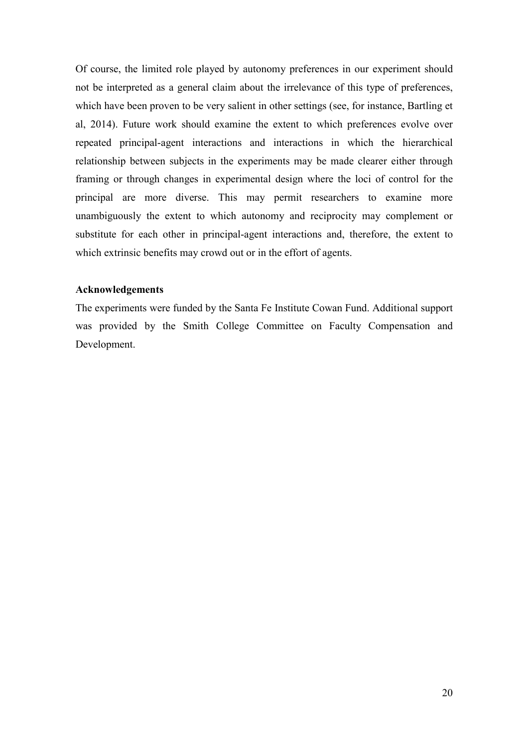Of course, the limited role played by autonomy preferences in our experiment should not be interpreted as a general claim about the irrelevance of this type of preferences, which have been proven to be very salient in other settings (see, for instance, Bartling et al, 2014). Future work should examine the extent to which preferences evolve over repeated principal-agent interactions and interactions in which the hierarchical relationship between subjects in the experiments may be made clearer either through framing or through changes in experimental design where the loci of control for the principal are more diverse. This may permit researchers to examine more unambiguously the extent to which autonomy and reciprocity may complement or substitute for each other in principal-agent interactions and, therefore, the extent to which extrinsic benefits may crowd out or in the effort of agents.

#### **Acknowledgements**

The experiments were funded by the Santa Fe Institute Cowan Fund. Additional support was provided by the Smith College Committee on Faculty Compensation and Development.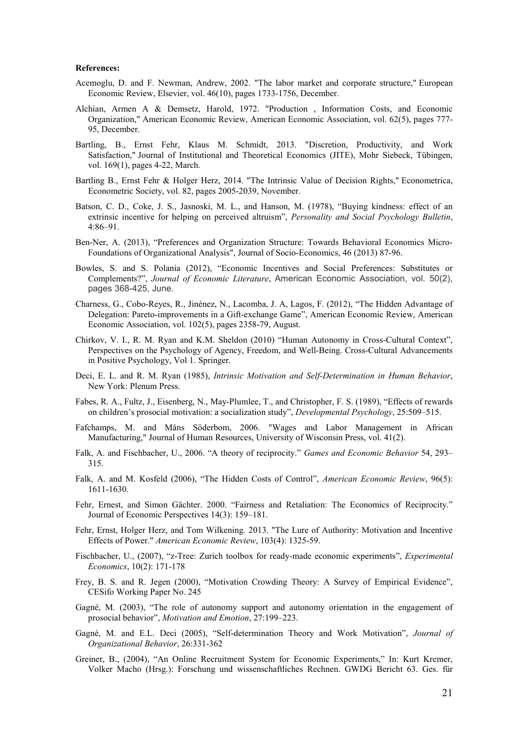#### **References:**

- Acemoglu, D. and F. Newman, Andrew, 2002. "The labor market and corporate structure," European Economic Review, Elsevier, vol. 46(10), pages 1733-1756, December.
- Alchian, Armen A & Demsetz, Harold, 1972. "Production , Information Costs, and Economic Organization," American Economic Review, American Economic Association, vol. 62(5), pages 777- 95, December.
- Bartling, B., Ernst Fehr, Klaus M. Schmidt, 2013. "Discretion, Productivity, and Work Satisfaction," Journal of Institutional and Theoretical Economics (JITE), Mohr Siebeck, Tübingen, vol. 169(1), pages 4-22, March.
- Bartling B., Ernst Fehr & Holger Herz, 2014. "The Intrinsic Value of Decision Rights," Econometrica, Econometric Society, vol. 82, pages 2005-2039, November.
- Batson, C. D., Coke, J. S., Jasnoski, M. L., and Hanson, M. (1978), "Buying kindness: effect of an extrinsic incentive for helping on perceived altruism", *Personality and Social Psychology Bulletin*, 4:86–91.
- Ben-Ner, A. (2013), "Preferences and Organization Structure: Towards Behavioral Economics Micro-Foundations of Organizational Analysis", Journal of Socio-Economics, 46 (2013) 87-96.
- Bowles, S. and S. Polania (2012), "Economic Incentives and Social Preferences: Substitutes or Complements?", *Journal of Economic Literature*, American Economic Association, vol. 50(2), pages 368-425, June.
- Charness, G., Cobo-Reyes, R., Jinénez, N., Lacomba, J. A, Lagos, F. (2012), "The Hidden Advantage of Delegation: Pareto-improvements in a Gift-exchange Game", American Economic Review, American Economic Association, vol. 102(5), pages 2358-79, August.
- Chirkov, V. I., R. M. Ryan and K.M. Sheldon (2010) "Human Autonomy in Cross-Cultural Context", Perspectives on the Psychology of Agency, Freedom, and Well-Being. Cross-Cultural Advancements in Positive Psychology, Vol 1. Springer.
- Deci, E. L. and R. M. Ryan (1985), *Intrinsic Motivation and Self-Determination in Human Behavior*, New York: Plenum Press.
- Fabes, R. A., Fultz, J., Eisenberg, N., May-Plumlee, T., and Christopher, F. S. (1989), "Effects of rewards on children's prosocial motivation: a socialization study", *Developmental Psychology*, 25:509–515.
- Fafchamps, M. and Måns Söderbom, 2006. "Wages and Labor Management in African Manufacturing," Journal of Human Resources, University of Wisconsin Press, vol. 41(2).
- Falk, A. and Fischbacher, U., 2006. "A theory of reciprocity." *Games and Economic Behavior* 54, 293– 315.
- Falk, A. and M. Kosfeld (2006), "The Hidden Costs of Control", *American Economic Review*, 96(5): 1611-1630.
- Fehr, Ernest, and Simon Gächter. 2000. "Fairness and Retaliation: The Economics of Reciprocity." Journal of Economic Perspectives 14(3): 159–181.
- Fehr, Ernst, Holger Herz, and Tom Wilkening. 2013. "The Lure of Authority: Motivation and Incentive Effects of Power." *American Economic Review*, 103(4): 1325-59.
- Fischbacher, U., (2007), "z-Tree: Zurich toolbox for ready-made economic experiments", *Experimental Economics*, 10(2): 171-178
- Frey, B. S. and R. Jegen (2000), "Motivation Crowding Theory: A Survey of Empirical Evidence", CESifo Working Paper No. 245
- Gagné, M. (2003), "The role of autonomy support and autonomy orientation in the engagement of prosocial behavior", *Motivation and Emotion*, 27:199–223.
- Gagné, M. and E.L. Deci (2005), "Self-determination Theory and Work Motivation", *Journal of Organizational Behavior*, 26:331-362
- Greiner, B., (2004), "An Online Recruitment System for Economic Experiments," In: Kurt Kremer, Volker Macho (Hrsg.): Forschung und wissenschaftliches Rechnen. GWDG Bericht 63. Ges. für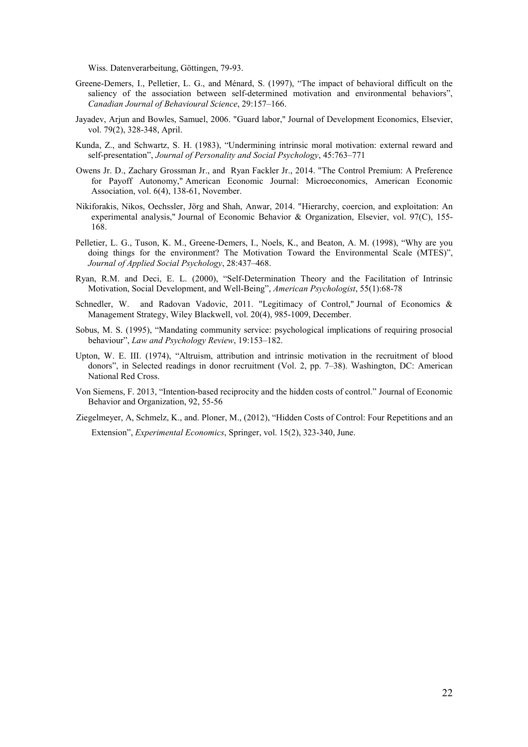Wiss. Datenverarbeitung, Göttingen, 79-93.

- Greene-Demers, I., Pelletier, L. G., and Ménard, S. (1997), "The impact of behavioral difficult on the saliency of the association between self-determined motivation and environmental behaviors", *Canadian Journal of Behavioural Science*, 29:157–166.
- Jayadev, Arjun and Bowles, Samuel, 2006. "Guard labor," Journal of Development Economics, Elsevier, vol. 79(2), 328-348, April.
- Kunda, Z., and Schwartz, S. H. (1983), "Undermining intrinsic moral motivation: external reward and self-presentation", *Journal of Personality and Social Psychology*, 45:763–771
- Owens Jr. D., Zachary Grossman Jr., and Ryan Fackler Jr., 2014. "The Control Premium: A Preference for Payoff Autonomy," American Economic Journal: Microeconomics, American Economic Association, vol. 6(4), 138-61, November.
- Nikiforakis, Nikos, Oechssler, Jörg and Shah, Anwar, 2014. "Hierarchy, coercion, and exploitation: An experimental analysis," Journal of Economic Behavior & Organization, Elsevier, vol. 97(C), 155- 168.
- Pelletier, L. G., Tuson, K. M., Greene-Demers, I., Noels, K., and Beaton, A. M. (1998), "Why are you doing things for the environment? The Motivation Toward the Environmental Scale (MTES)", *Journal of Applied Social Psychology*, 28:437–468.
- Ryan, R.M. and Deci, E. L. (2000), "Self-Determination Theory and the Facilitation of Intrinsic Motivation, Social Development, and Well-Being", *American Psychologist*, 55(1):68-78
- Schnedler, W. and Radovan Vadovic, 2011. "Legitimacy of Control," Journal of Economics & Management Strategy, Wiley Blackwell, vol. 20(4), 985-1009, December.
- Sobus, M. S. (1995), "Mandating community service: psychological implications of requiring prosocial behaviour", *Law and Psychology Review*, 19:153–182.
- Upton, W. E. III. (1974), "Altruism, attribution and intrinsic motivation in the recruitment of blood donors", in Selected readings in donor recruitment (Vol. 2, pp. 7–38). Washington, DC: American National Red Cross.
- Von Siemens, F. 2013, "Intention-based reciprocity and the hidden costs of control." Journal of Economic Behavior and Organization, 92, 55-56
- Ziegelmeyer, A, Schmelz, K., and. Ploner, M., (2012), "Hidden Costs of Control: Four Repetitions and an

Extension", *Experimental Economics*, Springer, vol. 15(2), 323-340, June.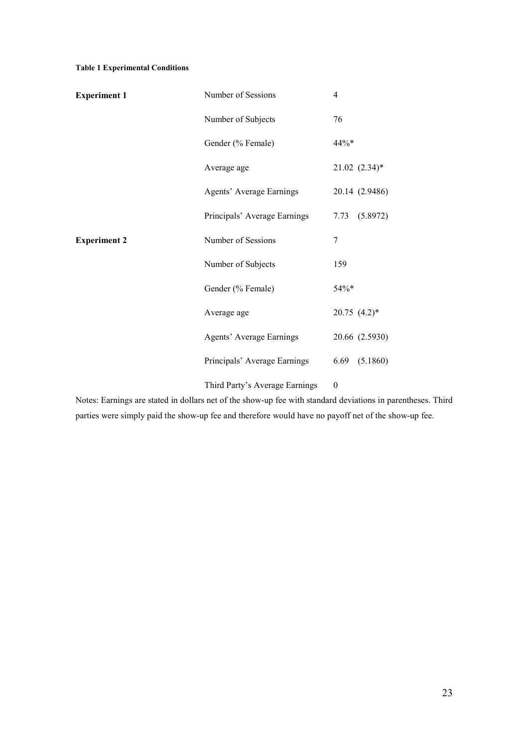#### **Table 1 Experimental Conditions**

| <b>Experiment 1</b> | Number of Sessions              | $\overline{4}$               |
|---------------------|---------------------------------|------------------------------|
|                     | Number of Subjects              | 76                           |
|                     | Gender (% Female)               | 44%*                         |
|                     | Average age                     | $21.02$ $(2.34)*$            |
|                     | <b>Agents' Average Earnings</b> | 20.14 (2.9486)               |
|                     | Principals' Average Earnings    | 7.73 (5.8972)                |
| <b>Experiment 2</b> | Number of Sessions              | 7                            |
|                     | Number of Subjects              | 159                          |
|                     | Gender (% Female)               | 54%*                         |
|                     | Average age                     | $20.75$ $(4.2)$ <sup>*</sup> |
|                     | <b>Agents' Average Earnings</b> | 20.66 (2.5930)               |
|                     | Principals' Average Earnings    | (5.1860)<br>6.69             |
|                     | Third Party's Average Earnings  | $\boldsymbol{0}$             |

Notes: Earnings are stated in dollars net of the show-up fee with standard deviations in parentheses. Third parties were simply paid the show-up fee and therefore would have no payoff net of the show-up fee.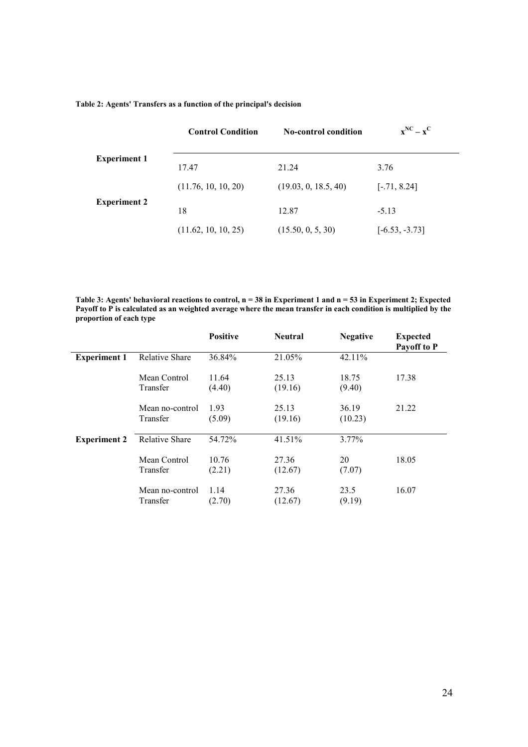|  |  |  | Table 2: Agents' Transfers as a function of the principal's decision |
|--|--|--|----------------------------------------------------------------------|
|--|--|--|----------------------------------------------------------------------|

|                     | <b>Control Condition</b> | <b>No-control condition</b> | $\mathbf{x}^{\text{NC}} - \mathbf{x}^{\text{C}}$ |
|---------------------|--------------------------|-----------------------------|--------------------------------------------------|
| <b>Experiment 1</b> | 17.47                    | 21.24                       | 3.76                                             |
|                     | (11.76, 10, 10, 20)      | (19.03, 0, 18.5, 40)        | $[-.71, 8.24]$                                   |
| <b>Experiment 2</b> | 18                       | 12.87                       | $-5.13$                                          |
|                     | (11.62, 10, 10, 25)      | (15.50, 0, 5, 30)           | $[-6.53, -3.73]$                                 |

**Table 3: Agents' behavioral reactions to control, n = 38 in Experiment 1 and n = 53 in Experiment 2; Expected Payoff to P is calculated as an weighted average where the mean transfer in each condition is multiplied by the proportion of each type**

|                     |                             | <b>Positive</b> | <b>Neutral</b>   | <b>Negative</b>  | <b>Expected</b><br>Payoff to P |
|---------------------|-----------------------------|-----------------|------------------|------------------|--------------------------------|
| <b>Experiment 1</b> | <b>Relative Share</b>       | 36.84%          | 21.05%           | 42.11%           |                                |
|                     | Mean Control<br>Transfer    | 11.64<br>(4.40) | 25.13<br>(19.16) | 18.75<br>(9.40)  | 17.38                          |
|                     | Mean no-control<br>Transfer | 1.93<br>(5.09)  | 25.13<br>(19.16) | 36.19<br>(10.23) | 21.22                          |
| <b>Experiment 2</b> | <b>Relative Share</b>       | 54.72%          | 41.51%           | $3.77\%$         |                                |
|                     | Mean Control<br>Transfer    | 10.76<br>(2.21) | 27.36<br>(12.67) | 20<br>(7.07)     | 18.05                          |
|                     | Mean no-control<br>Transfer | 1.14<br>(2.70)  | 27.36<br>(12.67) | 23.5<br>(9.19)   | 16.07                          |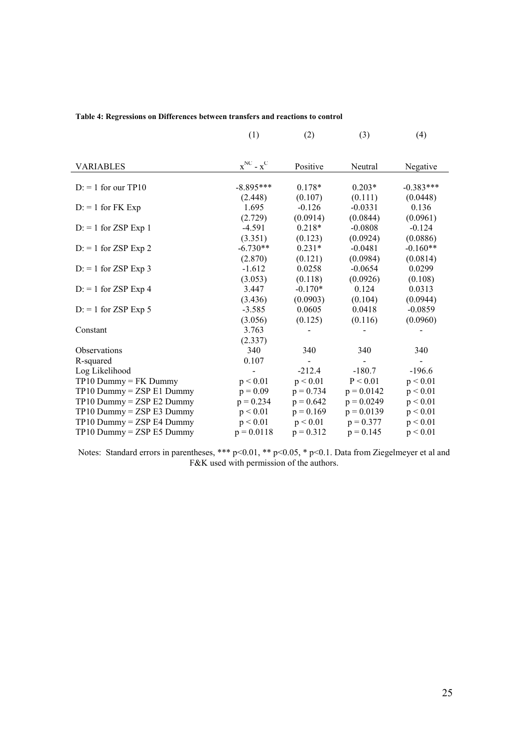|  | Table 4: Regressions on Differences between transfers and reactions to control |  |  |  |  |  |
|--|--------------------------------------------------------------------------------|--|--|--|--|--|
|  |                                                                                |  |  |  |  |  |

|                               | (1)                   | (2)                        | (3)                   | (4)                                  |
|-------------------------------|-----------------------|----------------------------|-----------------------|--------------------------------------|
| <b>VARIABLES</b>              | $x^{NC}$ - $x^C$      | Positive                   | Neutral               | Negative                             |
| $D = 1$ for our TP10          | $-8.895***$           | $0.178*$                   | $0.203*$              | $-0.383***$                          |
| $D = 1$ for FK Exp            | (2.448)<br>1.695      | (0.107)<br>$-0.126$        | (0.111)<br>$-0.0331$  | (0.0448)<br>0.136                    |
| $D = 1$ for ZSP Exp 1         | (2.729)<br>$-4.591$   | (0.0914)<br>$0.218*$       | (0.0844)<br>$-0.0808$ | (0.0961)<br>$-0.124$                 |
| $D$ : = 1 for ZSP Exp 2       | (3.351)<br>$-6.730**$ | (0.123)<br>$0.231*$        | (0.0924)<br>$-0.0481$ | (0.0886)<br>$-0.160**$               |
|                               | (2.870)               | (0.121)                    | (0.0984)              | (0.0814)                             |
| $D: = 1$ for ZSP Exp 3        | $-1.612$<br>(3.053)   | 0.0258<br>(0.118)          | $-0.0654$<br>(0.0926) | 0.0299<br>(0.108)                    |
| $D = 1$ for ZSP Exp 4         | 3.447<br>(3.436)      | $-0.170*$<br>(0.0903)      | 0.124<br>(0.104)      | 0.0313<br>(0.0944)                   |
| $D: = 1$ for ZSP Exp 5        | $-3.585$<br>(3.056)   | 0.0605<br>(0.125)          | 0.0418<br>(0.116)     | $-0.0859$<br>(0.0960)                |
| Constant                      | 3.763<br>(2.337)      |                            |                       |                                      |
| <b>Observations</b>           | 340                   | 340                        | 340                   | 340                                  |
| R-squared<br>Log Likelihood   | 0.107                 | $\blacksquare$<br>$-212.4$ | $-180.7$              | $\overline{\phantom{0}}$<br>$-196.6$ |
| $TP10$ Dummy = FK Dummy       | p < 0.01              | p < 0.01                   | P < 0.01              | p < 0.01                             |
| $TP10$ Dummy = $ZSPE1$ Dummy  | $p = 0.09$            | $p = 0.734$                | $p = 0.0142$          | p < 0.01                             |
| $TP10$ Dummy = $ZSPE2$ Dummy  | $p = 0.234$           | $p = 0.642$                | $p = 0.0249$          | p < 0.01                             |
| $TP10$ Dummy = $ZSPE3$ Dummy  | p < 0.01              | $p = 0.169$                | $p = 0.0139$          | p < 0.01                             |
| $TP10$ Dummy = $ZSP$ E4 Dummy | p < 0.01              | p < 0.01                   | $p = 0.377$           | p < 0.01                             |
| $TP10$ Dummy = $ZSP$ E5 Dummy | $p = 0.0118$          | $p = 0.312$                | $p = 0.145$           | p < 0.01                             |

Notes: Standard errors in parentheses, \*\*\* p<0.01, \*\* p<0.05, \* p<0.1. Data from Ziegelmeyer et al and F&K used with permission of the authors.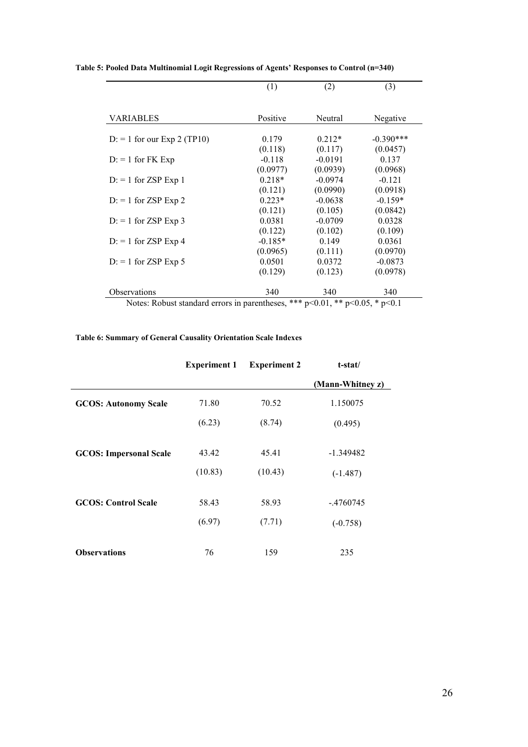|                                                                                      | (1)       | (2)       | (3)         |
|--------------------------------------------------------------------------------------|-----------|-----------|-------------|
|                                                                                      |           |           |             |
| <b>VARIABLES</b>                                                                     | Positive  | Neutral   | Negative    |
| $D: = 1$ for our Exp 2 (TP10)                                                        | 0.179     | $0.212*$  | $-0.390***$ |
|                                                                                      | (0.118)   | (0.117)   | (0.0457)    |
| $D: = 1$ for FK Exp                                                                  | $-0.118$  | $-0.0191$ | 0.137       |
|                                                                                      | (0.0977)  | (0.0939)  | (0.0968)    |
| $D: = 1$ for ZSP Exp 1                                                               | $0.218*$  | $-0.0974$ | $-0.121$    |
|                                                                                      | (0.121)   | (0.0990)  | (0.0918)    |
| $D = 1$ for ZSP Exp 2                                                                | $0.223*$  | $-0.0638$ | $-0.159*$   |
|                                                                                      | (0.121)   | (0.105)   | (0.0842)    |
| $D = 1$ for ZSP Exp 3                                                                | 0.0381    | $-0.0709$ | 0.0328      |
|                                                                                      | (0.122)   | (0.102)   | (0.109)     |
| $D = 1$ for ZSP Exp 4                                                                | $-0.185*$ | 0.149     | 0.0361      |
|                                                                                      | (0.0965)  | (0.111)   | (0.0970)    |
| $D = 1$ for ZSP Exp 5                                                                | 0.0501    | 0.0372    | $-0.0873$   |
|                                                                                      | (0.129)   | (0.123)   | (0.0978)    |
| Observations                                                                         | 340       | 340       | 340         |
| Notes: Robust standard errors in parentheses, *** $p<0.01$ , ** $p<0.05$ , * $p<0.1$ |           |           |             |

**Table 5: Pooled Data Multinomial Logit Regressions of Agents' Responses to Control (n=340)**

L

#### **Table 6: Summary of General Causality Orientation Scale Indexes**

|                               | <b>Experiment 1</b> | <b>Experiment 2</b> | t-stat/          |
|-------------------------------|---------------------|---------------------|------------------|
|                               |                     |                     | (Mann-Whitney z) |
| <b>GCOS: Autonomy Scale</b>   | 71.80               | 70.52               | 1.150075         |
|                               | (6.23)              | (8.74)              | (0.495)          |
| <b>GCOS: Impersonal Scale</b> | 43.42               | 45.41               | -1.349482        |
|                               | (10.83)             | (10.43)             | $(-1.487)$       |
| <b>GCOS: Control Scale</b>    | 58.43               | 58.93               | $-.4760745$      |
|                               | (6.97)              | (7.71)              | $(-0.758)$       |
| <b>Observations</b>           | 76                  | 159                 | 235              |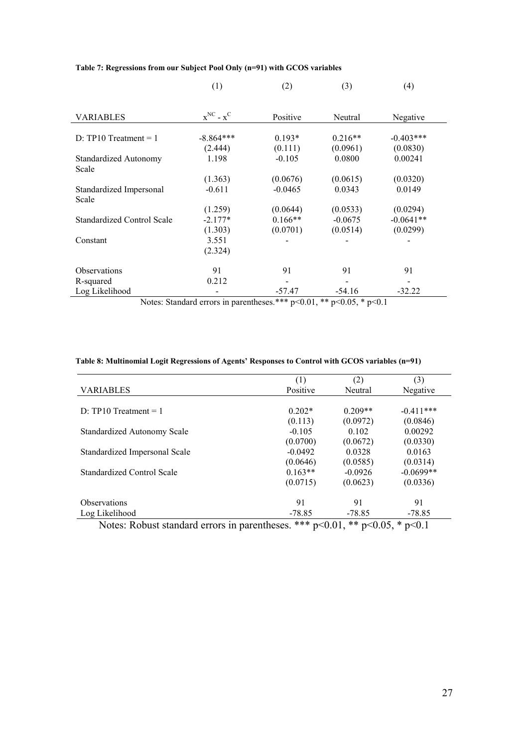|                                   | (1)                                                | (2)       | (3)       | (4)         |
|-----------------------------------|----------------------------------------------------|-----------|-----------|-------------|
|                                   |                                                    |           |           |             |
| <b>VARIABLES</b>                  | $\mathbf{x}^{\text{NC}}$ - $\mathbf{x}^{\text{C}}$ | Positive  | Neutral   | Negative    |
|                                   |                                                    |           |           |             |
| $D: TP10 Treatment = 1$           | $-8.864***$                                        | $0.193*$  | $0.216**$ | $-0.403***$ |
|                                   | (2.444)                                            | (0.111)   | (0.0961)  | (0.0830)    |
| <b>Standardized Autonomy</b>      | 1.198                                              | $-0.105$  | 0.0800    | 0.00241     |
| Scale                             |                                                    |           |           |             |
|                                   | (1.363)                                            | (0.0676)  | (0.0615)  | (0.0320)    |
| Standardized Impersonal           | $-0.611$                                           | $-0.0465$ | 0.0343    | 0.0149      |
| Scale                             |                                                    |           |           |             |
|                                   | (1.259)                                            | (0.0644)  | (0.0533)  | (0.0294)    |
| <b>Standardized Control Scale</b> | $-2.177*$                                          | $0.166**$ | $-0.0675$ | $-0.0641**$ |
|                                   | (1.303)                                            | (0.0701)  | (0.0514)  | (0.0299)    |
| Constant                          | 3.551                                              |           |           |             |
|                                   | (2.324)                                            |           |           |             |
| <b>Observations</b>               | 91                                                 | 91        | 91        | 91          |
| R-squared                         | 0.212                                              |           |           |             |
| Log Likelihood                    | $\cdot$                                            | $-57.47$  | $-54.16$  | $-32.22$    |

#### **Table 7: Regressions from our Subject Pool Only (n=91) with GCOS variables**

Notes: Standard errors in parentheses.\*\*\* p<0.01, \*\* p<0.05, \* p<0.1

#### **Table 8: Multinomial Logit Regressions of Agents' Responses to Control with GCOS variables (n=91)**

|                                    | (1)       | (2)       | (3)         |
|------------------------------------|-----------|-----------|-------------|
| <b>VARIABLES</b>                   | Positive  | Neutral   | Negative    |
|                                    |           |           |             |
| D: $TP10$ Treatment = 1            | $0.202*$  | $0.209**$ | $-0.411***$ |
|                                    | (0.113)   | (0.0972)  | (0.0846)    |
| <b>Standardized Autonomy Scale</b> | $-0.105$  | 0.102     | 0.00292     |
|                                    | (0.0700)  | (0.0672)  | (0.0330)    |
| Standardized Impersonal Scale      | $-0.0492$ | 0.0328    | 0.0163      |
|                                    | (0.0646)  | (0.0585)  | (0.0314)    |
| <b>Standardized Control Scale</b>  | $0.163**$ | $-0.0926$ | $-0.0699**$ |
|                                    | (0.0715)  | (0.0623)  | (0.0336)    |
| <b>Observations</b>                | 91        | 91        | 91          |
| Log Likelihood                     | $-78.85$  | $-78.85$  | $-78.85$    |

Notes: Robust standard errors in parentheses. \*\*\*  $p<0.01$ , \*\*  $p<0.05$ , \*  $p<0.1$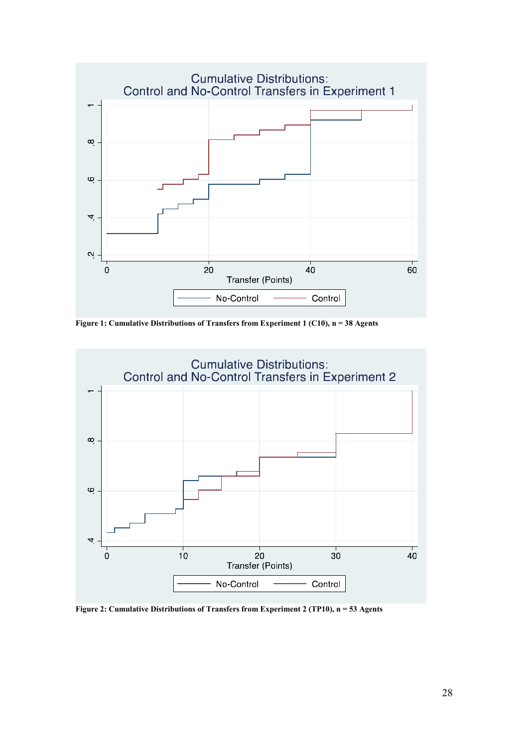

**Figure 1: Cumulative Distributions of Transfers from Experiment 1 (C10), n = 38 Agents**



**Figure 2: Cumulative Distributions of Transfers from Experiment 2 (TP10), n = 53 Agents**